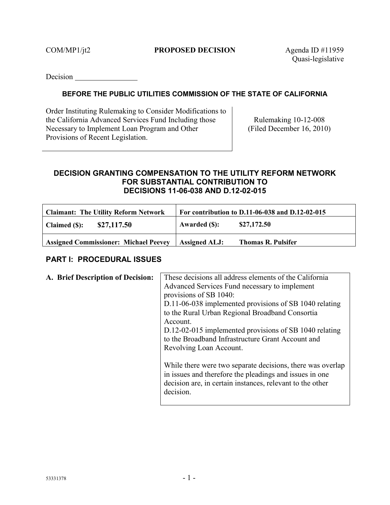#### COM/MP1/jt2 **PROPOSED DECISION** Agenda ID #11959

Quasi-legislative

**Decision** 

#### **BEFORE THE PUBLIC UTILITIES COMMISSION OF THE STATE OF CALIFORNIA**

Order Instituting Rulemaking to Consider Modifications to the California Advanced Services Fund Including those Necessary to Implement Loan Program and Other Provisions of Recent Legislation.

Rulemaking 10-12-008 (Filed December 16, 2010)

#### **DECISION GRANTING COMPENSATION TO THE UTILITY REFORM NETWORK FOR SUBSTANTIAL CONTRIBUTION TO DECISIONS 11-06-038 AND D.12-02-015**

| Claimant: The Utility Reform Network         |                      | For contribution to D.11-06-038 and D.12-02-015 |
|----------------------------------------------|----------------------|-------------------------------------------------|
| \$27,117.50<br><b>Claimed (\$):</b>          | Awarded (\$):        | \$27,172.50                                     |
| <b>Assigned Commissioner: Michael Peevey</b> | <b>Assigned ALJ:</b> | <b>Thomas R. Pulsifer</b>                       |

### **PART I: PROCEDURAL ISSUES**

| A. Brief Description of Decision: | These decisions all address elements of the California<br>Advanced Services Fund necessary to implement<br>provisions of SB 1040:<br>D.11-06-038 implemented provisions of SB 1040 relating<br>to the Rural Urban Regional Broadband Consortia<br>Account.<br>D.12-02-015 implemented provisions of SB 1040 relating |
|-----------------------------------|----------------------------------------------------------------------------------------------------------------------------------------------------------------------------------------------------------------------------------------------------------------------------------------------------------------------|
|                                   | to the Broadband Infrastructure Grant Account and<br>Revolving Loan Account.<br>While there were two separate decisions, there was overlap<br>in issues and therefore the pleadings and issues in one<br>decision are, in certain instances, relevant to the other<br>decision.                                      |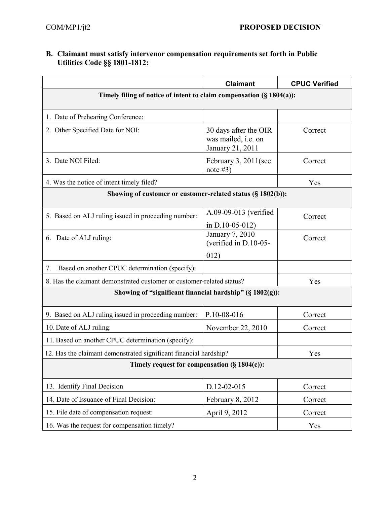#### **B. Claimant must satisfy intervenor compensation requirements set forth in Public Utilities Code §§ 1801-1812:**

|                                                                       | <b>Claimant</b>                                                  | <b>CPUC Verified</b> |
|-----------------------------------------------------------------------|------------------------------------------------------------------|----------------------|
| Timely filing of notice of intent to claim compensation (§ 1804(a)):  |                                                                  |                      |
| 1. Date of Prehearing Conference:                                     |                                                                  |                      |
| 2. Other Specified Date for NOI:                                      | 30 days after the OIR<br>was mailed, i.e. on<br>January 21, 2011 | Correct              |
| 3. Date NOI Filed:                                                    | February 3, 2011(see<br>note $#3)$                               | Correct              |
| 4. Was the notice of intent timely filed?                             |                                                                  | Yes                  |
| Showing of customer or customer-related status (§ 1802(b)):           |                                                                  |                      |
| 5. Based on ALJ ruling issued in proceeding number:                   | A.09-09-013 (verified                                            | Correct              |
|                                                                       | in $D.10-05-012$ )                                               |                      |
| 6. Date of ALJ ruling:                                                | January 7, 2010<br>(verified in D.10-05-                         | Correct              |
|                                                                       | 012)                                                             |                      |
| Based on another CPUC determination (specify):<br>7.                  |                                                                  |                      |
| 8. Has the claimant demonstrated customer or customer-related status? |                                                                  | Yes                  |
| Showing of "significant financial hardship" (§ 1802(g)):              |                                                                  |                      |
| 9. Based on ALJ ruling issued in proceeding number:                   | P.10-08-016                                                      | Correct              |
| 10. Date of ALJ ruling:                                               | November 22, 2010                                                | Correct              |
| 11. Based on another CPUC determination (specify):                    |                                                                  |                      |
| 12. Has the claimant demonstrated significant financial hardship?     |                                                                  | Yes                  |
| Timely request for compensation (§ 1804(c)):                          |                                                                  |                      |
| 13. Identify Final Decision                                           | D.12-02-015                                                      | Correct              |
| 14. Date of Issuance of Final Decision:                               | February 8, 2012                                                 | Correct              |
| 15. File date of compensation request:                                | April 9, 2012                                                    | Correct              |
| 16. Was the request for compensation timely?                          |                                                                  | Yes                  |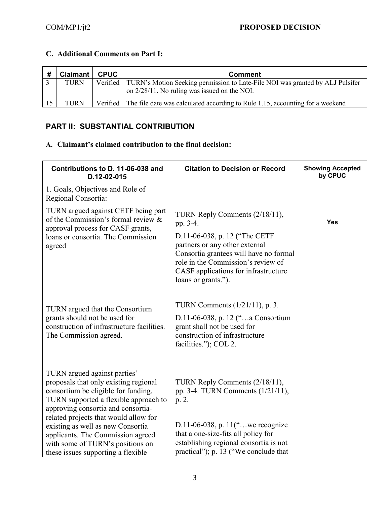| # | <b>Claimant   CPUC</b> | <b>Comment</b>                                                                           |
|---|------------------------|------------------------------------------------------------------------------------------|
|   | <b>TURN</b>            | Verified   TURN's Motion Seeking permission to Late-File NOI was granted by ALJ Pulsifer |
|   |                        | on 2/28/11. No ruling was issued on the NOI.                                             |
|   | <b>TURN</b>            | Verified The file date was calculated according to Rule 1.15, accounting for a weekend   |

### **C. Additional Comments on Part I:**

## **PART II: SUBSTANTIAL CONTRIBUTION**

### **A. Claimant's claimed contribution to the final decision:**

| Contributions to D. 11-06-038 and<br>D.12-02-015                                                                                                                                                                                                                                                                                                                                         | <b>Citation to Decision or Record</b>                                                                                                                                                                                                         | <b>Showing Accepted</b><br>by CPUC |
|------------------------------------------------------------------------------------------------------------------------------------------------------------------------------------------------------------------------------------------------------------------------------------------------------------------------------------------------------------------------------------------|-----------------------------------------------------------------------------------------------------------------------------------------------------------------------------------------------------------------------------------------------|------------------------------------|
| 1. Goals, Objectives and Role of<br>Regional Consortia:                                                                                                                                                                                                                                                                                                                                  |                                                                                                                                                                                                                                               |                                    |
| TURN argued against CETF being part<br>of the Commission's formal review &<br>approval process for CASF grants,<br>loans or consortia. The Commission<br>agreed                                                                                                                                                                                                                          | TURN Reply Comments (2/18/11),<br>pp. 3-4.<br>D.11-06-038, p. 12 ("The CETF<br>partners or any other external<br>Consortia grantees will have no formal<br>role in the Commission's review of<br>CASF applications for infrastructure         | <b>Yes</b>                         |
| TURN argued that the Consortium<br>grants should not be used for<br>construction of infrastructure facilities.<br>The Commission agreed.                                                                                                                                                                                                                                                 | loans or grants.").<br>TURN Comments $(1/21/11)$ , p. 3.<br>D.11-06-038, p. 12 ("a Consortium<br>grant shall not be used for<br>construction of infrastructure<br>facilities."); COL 2.                                                       |                                    |
| TURN argued against parties'<br>proposals that only existing regional<br>consortium be eligible for funding.<br>TURN supported a flexible approach to<br>approving consortia and consortia-<br>related projects that would allow for<br>existing as well as new Consortia<br>applicants. The Commission agreed<br>with some of TURN's positions on<br>these issues supporting a flexible | TURN Reply Comments (2/18/11),<br>pp. 3-4. TURN Comments $(1/21/11)$ ,<br>p. 2.<br>D.11-06-038, p. 11("we recognize<br>that a one-size-fits all policy for<br>establishing regional consortia is not<br>practical"); p. 13 ("We conclude that |                                    |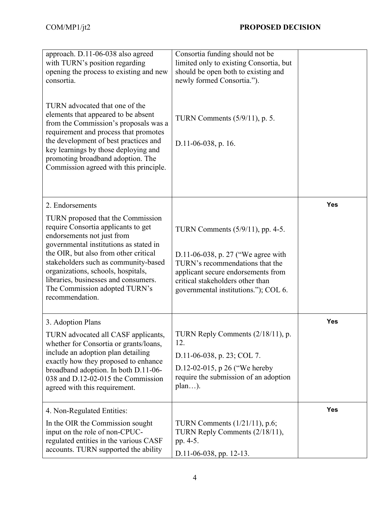| approach. D.11-06-038 also agreed<br>with TURN's position regarding<br>opening the process to existing and new<br>consortia.<br>TURN advocated that one of the<br>elements that appeared to be absent<br>from the Commission's proposals was a<br>requirement and process that promotes<br>the development of best practices and<br>key learnings by those deploying and<br>promoting broadband adoption. The<br>Commission agreed with this principle. | Consortia funding should not be<br>limited only to existing Consortia, but<br>should be open both to existing and<br>newly formed Consortia.").<br>TURN Comments $(5/9/11)$ , p. 5.<br>$D.11-06-038$ , p. 16.               |            |
|---------------------------------------------------------------------------------------------------------------------------------------------------------------------------------------------------------------------------------------------------------------------------------------------------------------------------------------------------------------------------------------------------------------------------------------------------------|-----------------------------------------------------------------------------------------------------------------------------------------------------------------------------------------------------------------------------|------------|
| 2. Endorsements<br>TURN proposed that the Commission<br>require Consortia applicants to get<br>endorsements not just from<br>governmental institutions as stated in<br>the OIR, but also from other critical<br>stakeholders such as community-based<br>organizations, schools, hospitals,<br>libraries, businesses and consumers.<br>The Commission adopted TURN's<br>recommendation.                                                                  | TURN Comments (5/9/11), pp. 4-5.<br>D.11-06-038, p. 27 ("We agree with<br>TURN's recommendations that the<br>applicant secure endorsements from<br>critical stakeholders other than<br>governmental institutions."); COL 6. | Yes        |
| 3. Adoption Plans<br>TURN advocated all CASF applicants,<br>whether for Consortia or grants/loans,<br>include an adoption plan detailing<br>exactly how they proposed to enhance<br>broadband adoption. In both D.11-06-<br>038 and D.12-02-015 the Commission<br>agreed with this requirement.                                                                                                                                                         | TURN Reply Comments (2/18/11), p.<br>12.<br>D.11-06-038, p. 23; COL 7.<br>D.12-02-015, p 26 ("We hereby<br>require the submission of an adoption<br>plan).                                                                  | Yes        |
| 4. Non-Regulated Entities:<br>In the OIR the Commission sought<br>input on the role of non-CPUC-<br>regulated entities in the various CASF<br>accounts. TURN supported the ability                                                                                                                                                                                                                                                                      | TURN Comments $(1/21/11)$ , p.6;<br>TURN Reply Comments (2/18/11),<br>pp. 4-5.<br>D.11-06-038, pp. 12-13.                                                                                                                   | <b>Yes</b> |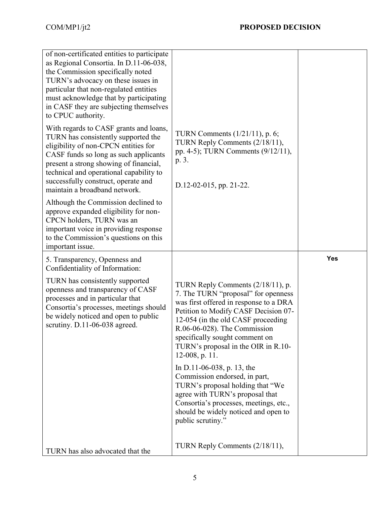| of non-certificated entities to participate<br>as Regional Consortia. In D.11-06-038,<br>the Commission specifically noted<br>TURN's advocacy on these issues in<br>particular that non-regulated entities<br>must acknowledge that by participating<br>in CASF they are subjecting themselves<br>to CPUC authority.        |                                                                                                                                                                                                                                                                                                                             |     |
|-----------------------------------------------------------------------------------------------------------------------------------------------------------------------------------------------------------------------------------------------------------------------------------------------------------------------------|-----------------------------------------------------------------------------------------------------------------------------------------------------------------------------------------------------------------------------------------------------------------------------------------------------------------------------|-----|
| With regards to CASF grants and loans,<br>TURN has consistently supported the<br>eligibility of non-CPCN entities for<br>CASF funds so long as such applicants<br>present a strong showing of financial,<br>technical and operational capability to<br>successfully construct, operate and<br>maintain a broadband network. | TURN Comments $(1/21/11)$ , p. 6;<br>TURN Reply Comments (2/18/11),<br>pp. 4-5); TURN Comments (9/12/11),<br>p. 3.<br>$D.12-02-015$ , pp. 21-22.                                                                                                                                                                            |     |
| Although the Commission declined to<br>approve expanded eligibility for non-<br>CPCN holders, TURN was an<br>important voice in providing response<br>to the Commission's questions on this<br>important issue.                                                                                                             |                                                                                                                                                                                                                                                                                                                             |     |
| 5. Transparency, Openness and<br>Confidentiality of Information:                                                                                                                                                                                                                                                            |                                                                                                                                                                                                                                                                                                                             | Yes |
| TURN has consistently supported<br>openness and transparency of CASF<br>processes and in particular that<br>Consortia's processes, meetings should<br>be widely noticed and open to public<br>scrutiny. D.11-06-038 agreed.                                                                                                 | TURN Reply Comments (2/18/11), p.<br>7. The TURN "proposal" for openness<br>was first offered in response to a DRA<br>Petition to Modify CASF Decision 07-<br>12-054 (in the old CASF proceeding<br>R.06-06-028). The Commission<br>specifically sought comment on<br>TURN's proposal in the OIR in R.10-<br>12-008, p. 11. |     |
|                                                                                                                                                                                                                                                                                                                             | In D.11-06-038, p. 13, the<br>Commission endorsed, in part,<br>TURN's proposal holding that "We<br>agree with TURN's proposal that<br>Consortia's processes, meetings, etc.,<br>should be widely noticed and open to<br>public scrutiny."                                                                                   |     |
|                                                                                                                                                                                                                                                                                                                             |                                                                                                                                                                                                                                                                                                                             |     |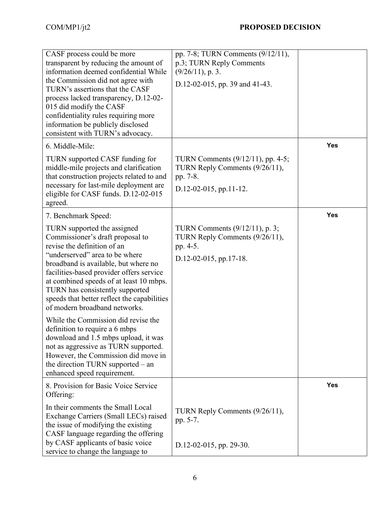| CASF process could be more<br>transparent by reducing the amount of<br>information deemed confidential While<br>the Commission did not agree with<br>TURN's assertions that the CASF<br>process lacked transparency, D.12-02-<br>015 did modify the CASF<br>confidentiality rules requiring more<br>information be publicly disclosed<br>consistent with TURN's advocacy.          | pp. 7-8; TURN Comments (9/12/11),<br>p.3; TURN Reply Comments<br>$(9/26/11)$ , p. 3.<br>D.12-02-015, pp. 39 and 41-43. |            |
|------------------------------------------------------------------------------------------------------------------------------------------------------------------------------------------------------------------------------------------------------------------------------------------------------------------------------------------------------------------------------------|------------------------------------------------------------------------------------------------------------------------|------------|
| 6. Middle-Mile:                                                                                                                                                                                                                                                                                                                                                                    |                                                                                                                        | <b>Yes</b> |
| TURN supported CASF funding for<br>middle-mile projects and clarification<br>that construction projects related to and<br>necessary for last-mile deployment are<br>eligible for CASF funds. D.12-02-015<br>agreed.                                                                                                                                                                | TURN Comments $(9/12/11)$ , pp. 4-5;<br>TURN Reply Comments (9/26/11),<br>pp. 7-8.<br>$D.12-02-015$ , pp.11-12.        |            |
| 7. Benchmark Speed:                                                                                                                                                                                                                                                                                                                                                                |                                                                                                                        | <b>Yes</b> |
| TURN supported the assigned<br>Commissioner's draft proposal to<br>revise the definition of an<br>"underserved" area to be where<br>broadband is available, but where no<br>facilities-based provider offers service<br>at combined speeds of at least 10 mbps.<br>TURN has consistently supported<br>speeds that better reflect the capabilities<br>of modern broadband networks. | TURN Comments $(9/12/11)$ , p. 3;<br>TURN Reply Comments (9/26/11),<br>pp. 4-5.<br>$D.12-02-015$ , pp.17-18.           |            |
| While the Commission did revise the<br>definition to require a 6 mbps<br>download and 1.5 mbps upload, it was<br>not as aggressive as TURN supported.<br>However, the Commission did move in<br>the direction TURN supported – an<br>enhanced speed requirement.                                                                                                                   |                                                                                                                        |            |
| 8. Provision for Basic Voice Service<br>Offering:                                                                                                                                                                                                                                                                                                                                  |                                                                                                                        | <b>Yes</b> |
| In their comments the Small Local<br>Exchange Carriers (Small LECs) raised<br>the issue of modifying the existing<br>CASF language regarding the offering                                                                                                                                                                                                                          | TURN Reply Comments (9/26/11),<br>pp. 5-7.                                                                             |            |
| by CASF applicants of basic voice<br>service to change the language to                                                                                                                                                                                                                                                                                                             | $D.12-02-015$ , pp. 29-30.                                                                                             |            |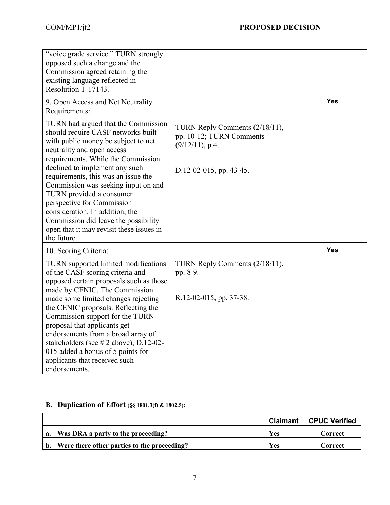| "voice grade service." TURN strongly<br>opposed such a change and the<br>Commission agreed retaining the<br>existing language reflected in<br>Resolution T-17143.                                                                                                                                                                                                                                                                                                                                    |                                                                                                             |            |
|------------------------------------------------------------------------------------------------------------------------------------------------------------------------------------------------------------------------------------------------------------------------------------------------------------------------------------------------------------------------------------------------------------------------------------------------------------------------------------------------------|-------------------------------------------------------------------------------------------------------------|------------|
| 9. Open Access and Net Neutrality<br>Requirements:                                                                                                                                                                                                                                                                                                                                                                                                                                                   |                                                                                                             | <b>Yes</b> |
| TURN had argued that the Commission<br>should require CASF networks built<br>with public money be subject to net<br>neutrality and open access<br>requirements. While the Commission<br>declined to implement any such<br>requirements, this was an issue the<br>Commission was seeking input on and<br>TURN provided a consumer<br>perspective for Commission<br>consideration. In addition, the<br>Commission did leave the possibility<br>open that it may revisit these issues in<br>the future. | TURN Reply Comments (2/18/11),<br>pp. 10-12; TURN Comments<br>$(9/12/11)$ , p.4.<br>D.12-02-015, pp. 43-45. |            |
| 10. Scoring Criteria:                                                                                                                                                                                                                                                                                                                                                                                                                                                                                |                                                                                                             | Yes        |
| TURN supported limited modifications<br>of the CASF scoring criteria and<br>opposed certain proposals such as those<br>made by CENIC. The Commission<br>made some limited changes rejecting<br>the CENIC proposals. Reflecting the<br>Commission support for the TURN<br>proposal that applicants get                                                                                                                                                                                                | TURN Reply Comments (2/18/11),<br>pp. 8-9.<br>R.12-02-015, pp. 37-38.                                       |            |
| endorsements from a broad array of<br>stakeholders (see $# 2$ above), D.12-02-<br>015 added a bonus of 5 points for<br>applicants that received such<br>endorsements.                                                                                                                                                                                                                                                                                                                                |                                                                                                             |            |

# **B. Duplication of Effort (§§ 1801.3(f) & 1802.5):**

|                                                | Claimant   | <b>CPUC Verified</b> |
|------------------------------------------------|------------|----------------------|
| a. Was DRA a party to the proceeding?          | <b>Yes</b> | Correct              |
| b. Were there other parties to the proceeding? | Yes        | Correct              |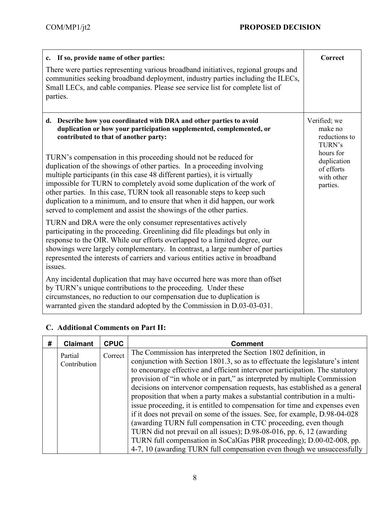| c. If so, provide name of other parties:<br>There were parties representing various broadband initiatives, regional groups and<br>communities seeking broadband deployment, industry parties including the ILECs,<br>Small LECs, and cable companies. Please see service list for complete list of<br>parties.                                                                                                                                                                                                                                                                                                                                                                                                              | Correct                                                                                                                |
|-----------------------------------------------------------------------------------------------------------------------------------------------------------------------------------------------------------------------------------------------------------------------------------------------------------------------------------------------------------------------------------------------------------------------------------------------------------------------------------------------------------------------------------------------------------------------------------------------------------------------------------------------------------------------------------------------------------------------------|------------------------------------------------------------------------------------------------------------------------|
| d. Describe how you coordinated with DRA and other parties to avoid<br>duplication or how your participation supplemented, complemented, or<br>contributed to that of another party:<br>TURN's compensation in this proceeding should not be reduced for<br>duplication of the showings of other parties. In a proceeding involving<br>multiple participants (in this case 48 different parties), it is virtually<br>impossible for TURN to completely avoid some duplication of the work of<br>other parties. In this case, TURN took all reasonable steps to keep such<br>duplication to a minimum, and to ensure that when it did happen, our work<br>served to complement and assist the showings of the other parties. | Verified; we<br>make no<br>reductions to<br>TURN's<br>hours for<br>duplication<br>of efforts<br>with other<br>parties. |
| TURN and DRA were the only consumer representatives actively<br>participating in the proceeding. Greenlining did file pleadings but only in<br>response to the OIR. While our efforts overlapped to a limited degree, our<br>showings were largely complementary. In contrast, a large number of parties<br>represented the interests of carriers and various entities active in broadband<br>issues.                                                                                                                                                                                                                                                                                                                       |                                                                                                                        |
| Any incidental duplication that may have occurred here was more than offset<br>by TURN's unique contributions to the proceeding. Under these<br>circumstances, no reduction to our compensation due to duplication is<br>warranted given the standard adopted by the Commission in D.03-03-031.                                                                                                                                                                                                                                                                                                                                                                                                                             |                                                                                                                        |

## **C. Additional Comments on Part II:**

| # | <b>Claimant</b>         | <b>CPUC</b> | Comment                                                                                                                                                                                                                                                                                                                                                                                                                                                                                                                                                                                                                                                                                                                                                                                                                                                                                                                               |
|---|-------------------------|-------------|---------------------------------------------------------------------------------------------------------------------------------------------------------------------------------------------------------------------------------------------------------------------------------------------------------------------------------------------------------------------------------------------------------------------------------------------------------------------------------------------------------------------------------------------------------------------------------------------------------------------------------------------------------------------------------------------------------------------------------------------------------------------------------------------------------------------------------------------------------------------------------------------------------------------------------------|
|   | Partial<br>Contribution | Correct     | The Commission has interpreted the Section 1802 definition, in<br>conjunction with Section 1801.3, so as to effectuate the legislature's intent<br>to encourage effective and efficient intervenor participation. The statutory<br>provision of "in whole or in part," as interpreted by multiple Commission<br>decisions on intervenor compensation requests, has established as a general<br>proposition that when a party makes a substantial contribution in a multi-<br>issue proceeding, it is entitled to compensation for time and expenses even<br>if it does not prevail on some of the issues. See, for example, D.98-04-028<br>(awarding TURN full compensation in CTC proceeding, even though<br>TURN did not prevail on all issues); D.98-08-016, pp. 6, 12 (awarding<br>TURN full compensation in SoCalGas PBR proceeding); D.00-02-008, pp.<br>4-7, 10 (awarding TURN full compensation even though we unsuccessfully |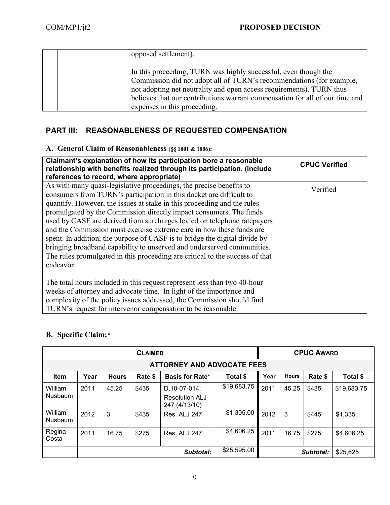| opposed settlement).                                                                                                                                                                                                                                                                                                            |  |
|---------------------------------------------------------------------------------------------------------------------------------------------------------------------------------------------------------------------------------------------------------------------------------------------------------------------------------|--|
| In this proceeding, TURN was highly successful, even though the<br>Commission did not adopt all of TURN's recommendations (for example,<br>not adopting net neutrality and open access requirements). TURN thus<br>believes that our contributions warrant compensation for all of our time and<br>expenses in this proceeding. |  |

# **PART III: REASONABLENESS OF REQUESTED COMPENSATION**

# **A. General Claim of Reasonableness (§§ 1801 & 1806):**

| Claimant's explanation of how its participation bore a reasonable<br>relationship with benefits realized through its participation. (include                                                                          | <b>CPUC Verified</b> |
|-----------------------------------------------------------------------------------------------------------------------------------------------------------------------------------------------------------------------|----------------------|
| references to record, where appropriate)                                                                                                                                                                              |                      |
| As with many quasi-legislative proceedings, the precise benefits to<br>consumers from TURN's participation in this docket are difficult to<br>quantify. However, the issues at stake in this proceeding and the rules | Verified             |
| promulgated by the Commission directly impact consumers. The funds                                                                                                                                                    |                      |
| used by CASF are derived from surcharges levied on telephone ratepayers                                                                                                                                               |                      |
| and the Commission must exercise extreme care in how these funds are                                                                                                                                                  |                      |
| spent. In addition, the purpose of CASF is to bridge the digital divide by                                                                                                                                            |                      |
| bringing broadband capability to unserved and underserved communities.                                                                                                                                                |                      |
| The rules promulgated in this proceeding are critical to the success of that                                                                                                                                          |                      |
| endeavor.                                                                                                                                                                                                             |                      |
| The total hours included in this request represent less than two 40-hour                                                                                                                                              |                      |
| weeks of attorney and advocate time. In light of the importance and                                                                                                                                                   |                      |
| complexity of the policy issues addressed, the Commission should find                                                                                                                                                 |                      |
| TURN's request for intervenor compensation to be reasonable.                                                                                                                                                          |                      |

# **B. Specific Claim:\***

| <b>CLAIMED</b>     |                            |              |             |                                                        |             |           | <b>CPUC AWARD</b> |         |             |  |
|--------------------|----------------------------|--------------|-------------|--------------------------------------------------------|-------------|-----------|-------------------|---------|-------------|--|
|                    | ATTORNEY AND ADVOCATE FEES |              |             |                                                        |             |           |                   |         |             |  |
| <b>Item</b>        | Year                       | <b>Hours</b> | Rate \$     | <b>Basis for Rate*</b>                                 | Total \$    | Year      | <b>Hours</b>      | Rate \$ | Total \$    |  |
| William<br>Nusbaum | 2011                       | 45.25        | \$435       | D.10-07-014;<br><b>Resolution ALJ</b><br>247 (4/13/10) | \$19,683.75 | 2011      | 45.25             | \$435   | \$19,683.75 |  |
| William<br>Nusbaum | 2012                       | 3            | \$435       | Res. ALJ 247                                           | \$1,305.00  | 2012      | 3                 | \$445   | \$1,335     |  |
| Regina<br>Costa    | 2011                       | 16.75        | \$275       | Res. ALJ 247                                           | \$4,606.25  | 2011      | 16.75             | \$275   | \$4,606.25  |  |
|                    |                            |              | \$25,595.00 |                                                        |             | Subtotal: | \$25,625          |         |             |  |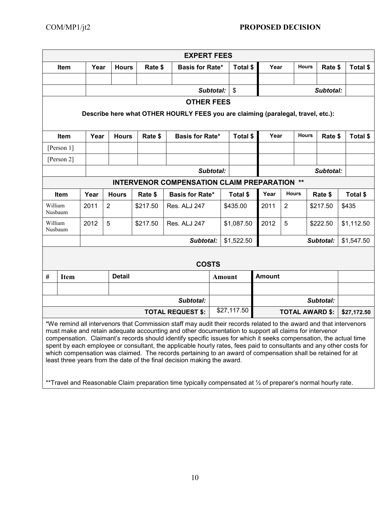|                          | <b>EXPERT FEES</b>                                                                                                                                                                                                                                                                                                                                                                                                                                                                                                                                                                                                                                                |      |                |          |                                                                                                               |             |                           |               |                         |               |             |            |
|--------------------------|-------------------------------------------------------------------------------------------------------------------------------------------------------------------------------------------------------------------------------------------------------------------------------------------------------------------------------------------------------------------------------------------------------------------------------------------------------------------------------------------------------------------------------------------------------------------------------------------------------------------------------------------------------------------|------|----------------|----------|---------------------------------------------------------------------------------------------------------------|-------------|---------------------------|---------------|-------------------------|---------------|-------------|------------|
|                          | Item                                                                                                                                                                                                                                                                                                                                                                                                                                                                                                                                                                                                                                                              | Year | <b>Hours</b>   | Rate \$  | <b>Basis for Rate*</b>                                                                                        |             | Total \$                  | Year          |                         | <b>Hours</b>  | Rate \$     | Total \$   |
|                          |                                                                                                                                                                                                                                                                                                                                                                                                                                                                                                                                                                                                                                                                   |      |                |          |                                                                                                               |             |                           |               |                         |               |             |            |
|                          |                                                                                                                                                                                                                                                                                                                                                                                                                                                                                                                                                                                                                                                                   |      |                |          |                                                                                                               | Subtotal:   | $\boldsymbol{\mathsf{S}}$ |               |                         |               | Subtotal:   |            |
|                          | <b>OTHER FEES</b>                                                                                                                                                                                                                                                                                                                                                                                                                                                                                                                                                                                                                                                 |      |                |          |                                                                                                               |             |                           |               |                         |               |             |            |
|                          |                                                                                                                                                                                                                                                                                                                                                                                                                                                                                                                                                                                                                                                                   |      |                |          | Describe here what OTHER HOURLY FEES you are claiming (paralegal, travel, etc.):                              |             |                           |               |                         |               |             |            |
|                          |                                                                                                                                                                                                                                                                                                                                                                                                                                                                                                                                                                                                                                                                   |      |                |          |                                                                                                               |             |                           |               |                         |               |             |            |
|                          | Item                                                                                                                                                                                                                                                                                                                                                                                                                                                                                                                                                                                                                                                              | Year | <b>Hours</b>   | Rate \$  | <b>Basis for Rate*</b>                                                                                        |             | Total \$                  | Year          |                         | <b>Hours</b>  | Rate \$     | Total \$   |
|                          | [Person 1]                                                                                                                                                                                                                                                                                                                                                                                                                                                                                                                                                                                                                                                        |      |                |          |                                                                                                               |             |                           |               |                         |               |             |            |
|                          | [Person 2]                                                                                                                                                                                                                                                                                                                                                                                                                                                                                                                                                                                                                                                        |      |                |          |                                                                                                               |             |                           |               |                         |               |             |            |
|                          |                                                                                                                                                                                                                                                                                                                                                                                                                                                                                                                                                                                                                                                                   |      |                |          |                                                                                                               | Subtotal:   |                           |               |                         |               | Subtotal:   |            |
|                          |                                                                                                                                                                                                                                                                                                                                                                                                                                                                                                                                                                                                                                                                   |      |                |          | <b>INTERVENOR COMPENSATION CLAIM PREPARATION **</b>                                                           |             |                           |               |                         |               |             |            |
|                          | Item                                                                                                                                                                                                                                                                                                                                                                                                                                                                                                                                                                                                                                                              | Year | <b>Hours</b>   | Rate \$  | <b>Basis for Rate*</b>                                                                                        |             | Total \$                  | Year          | <b>Hours</b><br>Rate \$ |               | Total \$    |            |
| William<br>Nusbaum       |                                                                                                                                                                                                                                                                                                                                                                                                                                                                                                                                                                                                                                                                   | 2011 | $\overline{2}$ | \$217.50 | Res. ALJ 247                                                                                                  |             | \$435.00                  | 2011          |                         | 2<br>\$217.50 |             | \$435      |
| William                  | Nusbaum                                                                                                                                                                                                                                                                                                                                                                                                                                                                                                                                                                                                                                                           | 2012 | 5              | \$217.50 | Res. ALJ 247                                                                                                  |             | \$1,087.50                | 2012          | 5                       |               | \$222.50    | \$1,112.50 |
|                          |                                                                                                                                                                                                                                                                                                                                                                                                                                                                                                                                                                                                                                                                   |      |                |          | Subtotal:                                                                                                     |             | \$1,522.50                | Subtotal:     |                         |               | \$1,547.50  |            |
|                          |                                                                                                                                                                                                                                                                                                                                                                                                                                                                                                                                                                                                                                                                   |      |                |          |                                                                                                               |             |                           |               |                         |               |             |            |
|                          |                                                                                                                                                                                                                                                                                                                                                                                                                                                                                                                                                                                                                                                                   |      |                |          | <b>COSTS</b>                                                                                                  |             |                           |               |                         |               |             |            |
| $\#$                     | <b>Item</b>                                                                                                                                                                                                                                                                                                                                                                                                                                                                                                                                                                                                                                                       |      | <b>Detail</b>  |          |                                                                                                               |             | <b>Amount</b>             | <b>Amount</b> |                         |               |             |            |
|                          |                                                                                                                                                                                                                                                                                                                                                                                                                                                                                                                                                                                                                                                                   |      |                |          |                                                                                                               |             |                           |               |                         |               |             |            |
|                          |                                                                                                                                                                                                                                                                                                                                                                                                                                                                                                                                                                                                                                                                   |      |                |          | Subtotal:                                                                                                     |             |                           |               |                         |               | Subtotal:   |            |
| <b>TOTAL REQUEST \$:</b> |                                                                                                                                                                                                                                                                                                                                                                                                                                                                                                                                                                                                                                                                   |      |                |          |                                                                                                               | \$27,117.50 |                           |               | <b>TOTAL AWARD \$:</b>  |               | \$27,172.50 |            |
|                          | *We remind all intervenors that Commission staff may audit their records related to the award and that intervenors<br>must make and retain adequate accounting and other documentation to support all claims for intervenor<br>compensation. Claimant's records should identify specific issues for which it seeks compensation, the actual time<br>spent by each employee or consultant, the applicable hourly rates, fees paid to consultants and any other costs for<br>which compensation was claimed. The records pertaining to an award of compensation shall be retained for at<br>least three years from the date of the final decision making the award. |      |                |          |                                                                                                               |             |                           |               |                         |               |             |            |
|                          |                                                                                                                                                                                                                                                                                                                                                                                                                                                                                                                                                                                                                                                                   |      |                |          | **Travel and Reasonable Claim preparation time typically compensated at 1/2 of preparer's normal hourly rate. |             |                           |               |                         |               |             |            |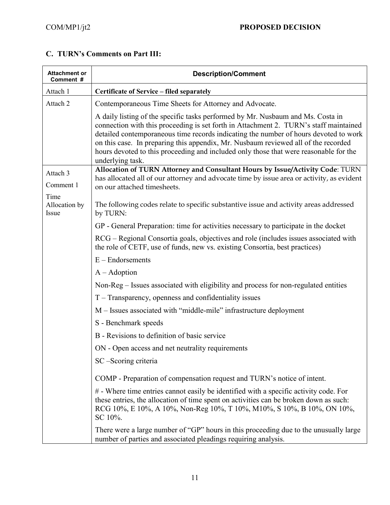# **C. TURN's Comments on Part III:**

| <b>Attachment or</b><br>Comment # | <b>Description/Comment</b>                                                                                                                                                                                                                                                                                                                                                                                                                                          |
|-----------------------------------|---------------------------------------------------------------------------------------------------------------------------------------------------------------------------------------------------------------------------------------------------------------------------------------------------------------------------------------------------------------------------------------------------------------------------------------------------------------------|
| Attach 1                          | Certificate of Service - filed separately                                                                                                                                                                                                                                                                                                                                                                                                                           |
| Attach 2                          | Contemporaneous Time Sheets for Attorney and Advocate.                                                                                                                                                                                                                                                                                                                                                                                                              |
|                                   | A daily listing of the specific tasks performed by Mr. Nusbaum and Ms. Costa in<br>connection with this proceeding is set forth in Attachment 2. TURN's staff maintained<br>detailed contemporaneous time records indicating the number of hours devoted to work<br>on this case. In preparing this appendix, Mr. Nusbaum reviewed all of the recorded<br>hours devoted to this proceeding and included only those that were reasonable for the<br>underlying task. |
| Attach 3                          | Allocation of TURN Attorney and Consultant Hours by Issue/Activity Code: TURN                                                                                                                                                                                                                                                                                                                                                                                       |
| Comment 1                         | has allocated all of our attorney and advocate time by issue area or activity, as evident<br>on our attached timesheets.                                                                                                                                                                                                                                                                                                                                            |
| Time                              |                                                                                                                                                                                                                                                                                                                                                                                                                                                                     |
| Allocation by<br>Issue            | The following codes relate to specific substantive issue and activity areas addressed<br>by TURN:                                                                                                                                                                                                                                                                                                                                                                   |
|                                   | GP - General Preparation: time for activities necessary to participate in the docket                                                                                                                                                                                                                                                                                                                                                                                |
|                                   | RCG – Regional Consortia goals, objectives and role (includes issues associated with<br>the role of CETF, use of funds, new vs. existing Consortia, best practices)                                                                                                                                                                                                                                                                                                 |
|                                   | $E$ – Endorsements                                                                                                                                                                                                                                                                                                                                                                                                                                                  |
|                                   | $A - Adoption$                                                                                                                                                                                                                                                                                                                                                                                                                                                      |
|                                   | Non-Reg – Issues associated with eligibility and process for non-regulated entities                                                                                                                                                                                                                                                                                                                                                                                 |
|                                   | T – Transparency, openness and confidentiality issues                                                                                                                                                                                                                                                                                                                                                                                                               |
|                                   | M - Issues associated with "middle-mile" infrastructure deployment                                                                                                                                                                                                                                                                                                                                                                                                  |
|                                   | S - Benchmark speeds                                                                                                                                                                                                                                                                                                                                                                                                                                                |
|                                   | B - Revisions to definition of basic service                                                                                                                                                                                                                                                                                                                                                                                                                        |
|                                   | ON - Open access and net neutrality requirements                                                                                                                                                                                                                                                                                                                                                                                                                    |
|                                   | SC-Scoring criteria                                                                                                                                                                                                                                                                                                                                                                                                                                                 |
|                                   | COMP - Preparation of compensation request and TURN's notice of intent.                                                                                                                                                                                                                                                                                                                                                                                             |
|                                   | # - Where time entries cannot easily be identified with a specific activity code. For<br>these entries, the allocation of time spent on activities can be broken down as such:<br>RCG 10%, E 10%, A 10%, Non-Reg 10%, T 10%, M10%, S 10%, B 10%, ON 10%,<br>SC 10%.                                                                                                                                                                                                 |
|                                   | There were a large number of "GP" hours in this proceeding due to the unusually large<br>number of parties and associated pleadings requiring analysis.                                                                                                                                                                                                                                                                                                             |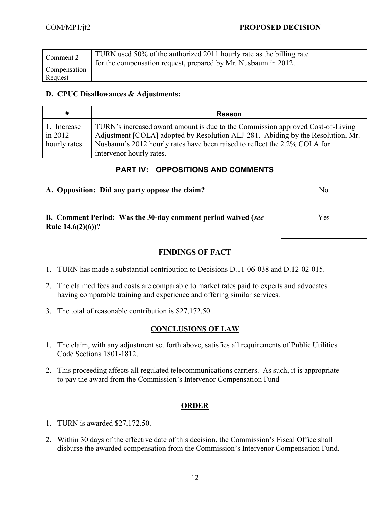| Comment 2    | TURN used 50% of the authorized 2011 hourly rate as the billing rate<br>for the compensation request, prepared by Mr. Nusbaum in 2012. |
|--------------|----------------------------------------------------------------------------------------------------------------------------------------|
| Compensation |                                                                                                                                        |
| Request      |                                                                                                                                        |

#### **D. CPUC Disallowances & Adjustments:**

| #                                          | <b>Reason</b>                                                                                                                                                                                                                                                              |
|--------------------------------------------|----------------------------------------------------------------------------------------------------------------------------------------------------------------------------------------------------------------------------------------------------------------------------|
| 1. Increase<br>$\sin 2012$<br>hourly rates | TURN's increased award amount is due to the Commission approved Cost-of-Living<br>Adjustment [COLA] adopted by Resolution ALJ-281. Abiding by the Resolution, Mr.<br>Nusbaum's 2012 hourly rates have been raised to reflect the 2.2% COLA for<br>intervenor hourly rates. |

### **PART IV: OPPOSITIONS AND COMMENTS**

#### **A. Opposition: Did any party oppose the claim?** No

Yes

**B. Comment Period: Was the 30-day comment period waived (***see* **Rule 14.6(2)(6))?**

### **FINDINGS OF FACT**

- 1. TURN has made a substantial contribution to Decisions D.11-06-038 and D.12-02-015.
- 2. The claimed fees and costs are comparable to market rates paid to experts and advocates having comparable training and experience and offering similar services.
- 3. The total of reasonable contribution is \$27,172.50.

### **CONCLUSIONS OF LAW**

- 1. The claim, with any adjustment set forth above, satisfies all requirements of Public Utilities Code Sections 1801-1812.
- 2. This proceeding affects all regulated telecommunications carriers. As such, it is appropriate to pay the award from the Commission's Intervenor Compensation Fund

#### **ORDER**

- 1. TURN is awarded \$27,172.50.
- 2. Within 30 days of the effective date of this decision, the Commission's Fiscal Office shall disburse the awarded compensation from the Commission's Intervenor Compensation Fund.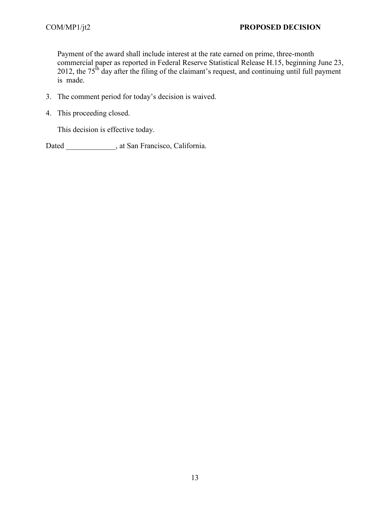Payment of the award shall include interest at the rate earned on prime, three-month commercial paper as reported in Federal Reserve Statistical Release H.15, beginning June 23, 2012, the  $75<sup>th</sup>$  day after the filing of the claimant's request, and continuing until full payment is made.

- 3. The comment period for today's decision is waived.
- 4. This proceeding closed.

This decision is effective today.

Dated \_\_\_\_\_\_\_\_\_\_\_, at San Francisco, California.